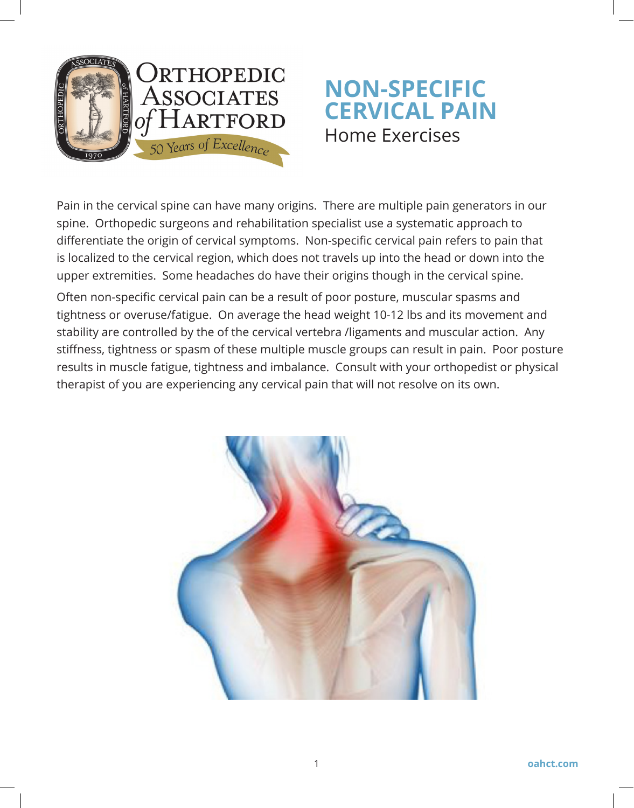

# **NON-SPECIFIC CERVICAL PAIN** Home Exercises

Pain in the cervical spine can have many origins. There are multiple pain generators in our spine. Orthopedic surgeons and rehabilitation specialist use a systematic approach to differentiate the origin of cervical symptoms. Non-specific cervical pain refers to pain that is localized to the cervical region, which does not travels up into the head or down into the upper extremities. Some headaches do have their origins though in the cervical spine.

Often non-specific cervical pain can be a result of poor posture, muscular spasms and tightness or overuse/fatigue. On average the head weight 10-12 lbs and its movement and stability are controlled by the of the cervical vertebra /ligaments and muscular action. Any stiffness, tightness or spasm of these multiple muscle groups can result in pain. Poor posture results in muscle fatigue, tightness and imbalance. Consult with your orthopedist or physical therapist of you are experiencing any cervical pain that will not resolve on its own.

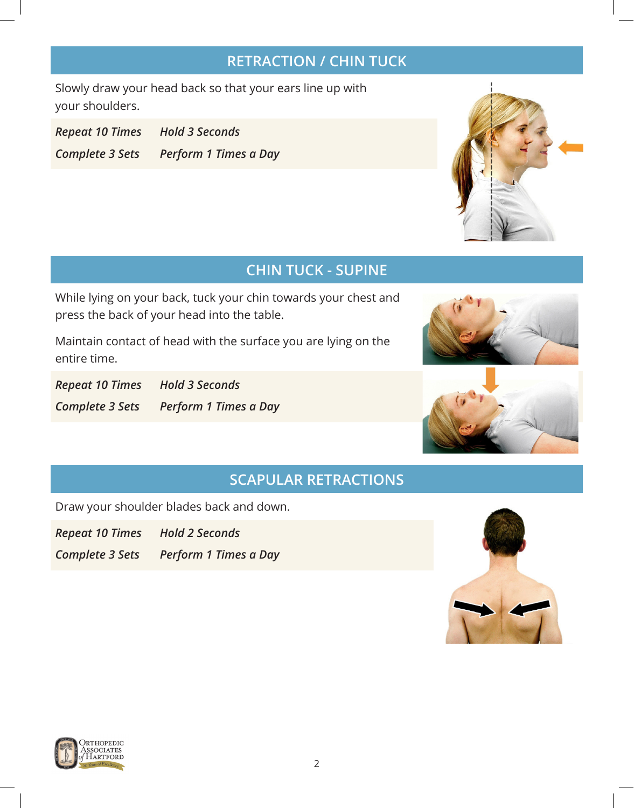## **RETRACTION / CHIN TUCK**

Slowly draw your head back so that your ears line up with your shoulders.

*Repeat 10 Times Hold 3 Seconds Complete 3 Sets Perform 1 Times a Day*



## **CHIN TUCK - SUPINE**

While lying on your back, tuck your chin towards your chest and press the back of your head into the table.

Maintain contact of head with the surface you are lying on the entire time.

*Repeat 10 Times Hold 3 Seconds Complete 3 Sets Perform 1 Times a Day*





#### **SCAPULAR RETRACTIONS**

Draw your shoulder blades back and down.

*Repeat 10 Times Hold 2 Seconds*

*Complete 3 Sets Perform 1 Times a Day*